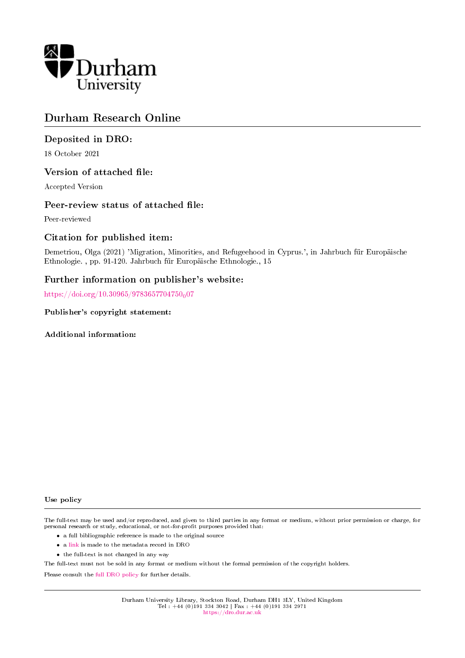

# Durham Research Online

# Deposited in DRO:

18 October 2021

## Version of attached file:

Accepted Version

## Peer-review status of attached file:

Peer-reviewed

# Citation for published item:

Demetriou, Olga (2021) 'Migration, Minorities, and Refugeehood in Cyprus.', in Jahrbuch für Europäische Ethnologie. , pp. 91-120. Jahrbuch fur Europaische Ethnologie., 15

# Further information on publisher's website:

[https://doi.org/10.30965/9783657704750](https://doi.org/10.30965/9783657704750_007)<sub>0</sub>07

Publisher's copyright statement:

Additional information:

#### Use policy

The full-text may be used and/or reproduced, and given to third parties in any format or medium, without prior permission or charge, for personal research or study, educational, or not-for-profit purposes provided that:

- a full bibliographic reference is made to the original source
- a [link](http://dro.dur.ac.uk/34210/) is made to the metadata record in DRO
- the full-text is not changed in any way

The full-text must not be sold in any format or medium without the formal permission of the copyright holders.

Please consult the [full DRO policy](https://dro.dur.ac.uk/policies/usepolicy.pdf) for further details.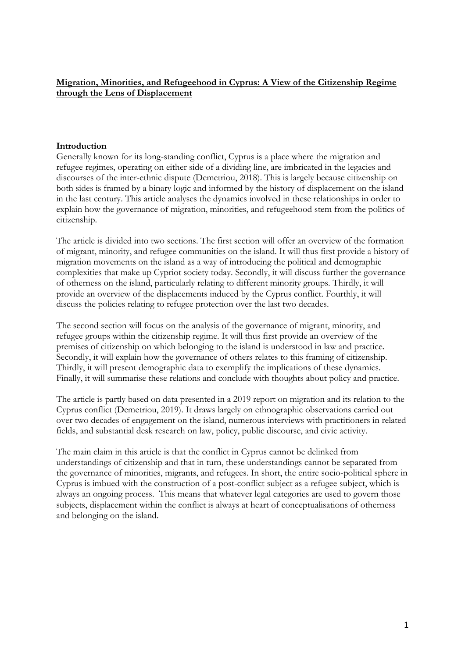# **Migration, Minorities, and Refugeehood in Cyprus: A View of the Citizenship Regime through the Lens of Displacement**

## **Introduction**

Generally known for its long-standing conflict, Cyprus is a place where the migration and refugee regimes, operating on either side of a dividing line, are imbricated in the legacies and discourses of the inter-ethnic dispute (Demetriou, 2018). This is largely because citizenship on both sides is framed by a binary logic and informed by the history of displacement on the island in the last century. This article analyses the dynamics involved in these relationships in order to explain how the governance of migration, minorities, and refugeehood stem from the politics of citizenship.

The article is divided into two sections. The first section will offer an overview of the formation of migrant, minority, and refugee communities on the island. It will thus first provide a history of migration movements on the island as a way of introducing the political and demographic complexities that make up Cypriot society today. Secondly, it will discuss further the governance of otherness on the island, particularly relating to different minority groups. Thirdly, it will provide an overview of the displacements induced by the Cyprus conflict. Fourthly, it will discuss the policies relating to refugee protection over the last two decades.

The second section will focus on the analysis of the governance of migrant, minority, and refugee groups within the citizenship regime. It will thus first provide an overview of the premises of citizenship on which belonging to the island is understood in law and practice. Secondly, it will explain how the governance of others relates to this framing of citizenship. Thirdly, it will present demographic data to exemplify the implications of these dynamics. Finally, it will summarise these relations and conclude with thoughts about policy and practice.

The article is partly based on data presented in a 2019 report on migration and its relation to the Cyprus conflict (Demetriou, 2019). It draws largely on ethnographic observations carried out over two decades of engagement on the island, numerous interviews with practitioners in related fields, and substantial desk research on law, policy, public discourse, and civic activity.

The main claim in this article is that the conflict in Cyprus cannot be delinked from understandings of citizenship and that in turn, these understandings cannot be separated from the governance of minorities, migrants, and refugees. In short, the entire socio-political sphere in Cyprus is imbued with the construction of a post-conflict subject as a refugee subject, which is always an ongoing process. This means that whatever legal categories are used to govern those subjects, displacement within the conflict is always at heart of conceptualisations of otherness and belonging on the island.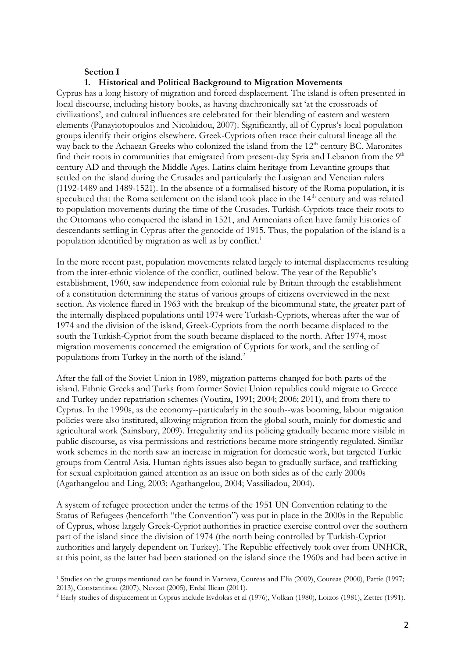## **Section I**

### **1. Historical and Political Background to Migration Movements**

Cyprus has a long history of migration and forced displacement. The island is often presented in local discourse, including history books, as having diachronically sat 'at the crossroads of civilizations', and cultural influences are celebrated for their blending of eastern and western elements (Panayiotopoulos and Nicolaidou, 2007). Significantly, all of Cyprus's local population groups identify their origins elsewhere. Greek-Cypriots often trace their cultural lineage all the way back to the Achaean Greeks who colonized the island from the 12<sup>th</sup> century BC. Maronites find their roots in communities that emigrated from present-day Syria and Lebanon from the  $9<sup>th</sup>$ century AD and through the Middle Ages. Latins claim heritage from Levantine groups that settled on the island during the Crusades and particularly the Lusignan and Venetian rulers (1192-1489 and 1489-1521). In the absence of a formalised history of the Roma population, it is speculated that the Roma settlement on the island took place in the 14<sup>th</sup> century and was related to population movements during the time of the Crusades. Turkish-Cypriots trace their roots to the Ottomans who conquered the island in 1521, and Armenians often have family histories of descendants settling in Cyprus after the genocide of 1915. Thus, the population of the island is a population identified by migration as well as by conflict.<sup>1</sup>

In the more recent past, population movements related largely to internal displacements resulting from the inter-ethnic violence of the conflict, outlined below. The year of the Republic's establishment, 1960, saw independence from colonial rule by Britain through the establishment of a constitution determining the status of various groups of citizens overviewed in the next section. As violence flared in 1963 with the breakup of the bicommunal state, the greater part of the internally displaced populations until 1974 were Turkish-Cypriots, whereas after the war of 1974 and the division of the island, Greek-Cypriots from the north became displaced to the south the Turkish-Cypriot from the south became displaced to the north. After 1974, most migration movements concerned the emigration of Cypriots for work, and the settling of populations from Turkey in the north of the island. 2

After the fall of the Soviet Union in 1989, migration patterns changed for both parts of the island. Ethnic Greeks and Turks from former Soviet Union republics could migrate to Greece and Turkey under repatriation schemes (Voutira, 1991; 2004; 2006; 2011), and from there to Cyprus. In the 1990s, as the economy--particularly in the south--was booming, labour migration policies were also instituted, allowing migration from the global south, mainly for domestic and agricultural work (Sainsbury, 2009). Irregularity and its policing gradually became more visible in public discourse, as visa permissions and restrictions became more stringently regulated. Similar work schemes in the north saw an increase in migration for domestic work, but targeted Turkic groups from Central Asia. Human rights issues also began to gradually surface, and trafficking for sexual exploitation gained attention as an issue on both sides as of the early 2000s (Agathangelou and Ling, 2003; Agathangelou, 2004; Vassiliadou, 2004).

A system of refugee protection under the terms of the 1951 UN Convention relating to the Status of Refugees (henceforth "the Convention") was put in place in the 2000s in the Republic of Cyprus, whose largely Greek-Cypriot authorities in practice exercise control over the southern part of the island since the division of 1974 (the north being controlled by Turkish-Cypriot authorities and largely dependent on Turkey). The Republic effectively took over from UNHCR, at this point, as the latter had been stationed on the island since the 1960s and had been active in

<sup>1</sup> Studies on the groups mentioned can be found in Varnava, Coureas and Elia (2009), Coureas (2000), Pattie (1997; 2013), Constantinou (2007), Nevzat (2005), Erdal Ilican (2011).

<sup>2</sup> Early studies of displacement in Cyprus include Evdokas et al (1976), Volkan (1980), Loizos (1981), Zetter (1991).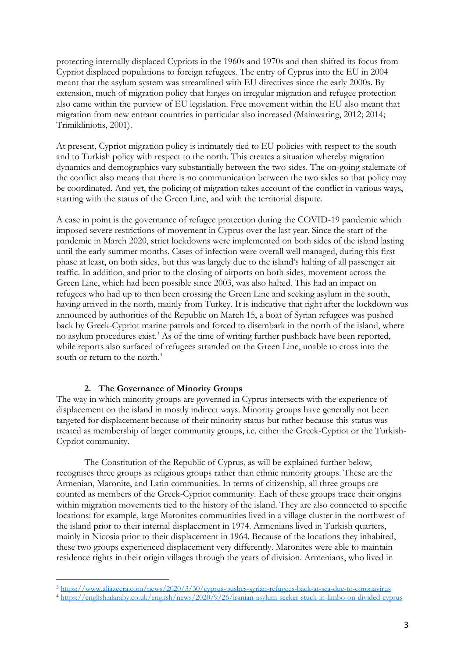protecting internally displaced Cypriots in the 1960s and 1970s and then shifted its focus from Cypriot displaced populations to foreign refugees. The entry of Cyprus into the EU in 2004 meant that the asylum system was streamlined with EU directives since the early 2000s. By extension, much of migration policy that hinges on irregular migration and refugee protection also came within the purview of EU legislation. Free movement within the EU also meant that migration from new entrant countries in particular also increased (Mainwaring, 2012; 2014; Trimikliniotis, 2001).

At present, Cypriot migration policy is intimately tied to EU policies with respect to the south and to Turkish policy with respect to the north. This creates a situation whereby migration dynamics and demographics vary substantially between the two sides. The on-going stalemate of the conflict also means that there is no communication between the two sides so that policy may be coordinated. And yet, the policing of migration takes account of the conflict in various ways, starting with the status of the Green Line, and with the territorial dispute.

A case in point is the governance of refugee protection during the COVID-19 pandemic which imposed severe restrictions of movement in Cyprus over the last year. Since the start of the pandemic in March 2020, strict lockdowns were implemented on both sides of the island lasting until the early summer months. Cases of infection were overall well managed, during this first phase at least, on both sides, but this was largely due to the island's halting of all passenger air traffic. In addition, and prior to the closing of airports on both sides, movement across the Green Line, which had been possible since 2003, was also halted. This had an impact on refugees who had up to then been crossing the Green Line and seeking asylum in the south, having arrived in the north, mainly from Turkey. It is indicative that right after the lockdown was announced by authorities of the Republic on March 15, a boat of Syrian refugees was pushed back by Greek-Cypriot marine patrols and forced to disembark in the north of the island, where no asylum procedures exist.<sup>3</sup> As of the time of writing further pushback have been reported, while reports also surfaced of refugees stranded on the Green Line, unable to cross into the south or return to the north.<sup>4</sup>

### **2. The Governance of Minority Groups**

The way in which minority groups are governed in Cyprus intersects with the experience of displacement on the island in mostly indirect ways. Minority groups have generally not been targeted for displacement because of their minority status but rather because this status was treated as membership of larger community groups, i.e. either the Greek-Cypriot or the Turkish-Cypriot community.

The Constitution of the Republic of Cyprus, as will be explained further below, recognises three groups as religious groups rather than ethnic minority groups. These are the Armenian, Maronite, and Latin communities. In terms of citizenship, all three groups are counted as members of the Greek-Cypriot community. Each of these groups trace their origins within migration movements tied to the history of the island. They are also connected to specific locations: for example, large Maronites communities lived in a village cluster in the northwest of the island prior to their internal displacement in 1974. Armenians lived in Turkish quarters, mainly in Nicosia prior to their displacement in 1964. Because of the locations they inhabited, these two groups experienced displacement very differently. Maronites were able to maintain residence rights in their origin villages through the years of division. Armenians, who lived in

<sup>3</sup> <https://www.aljazeera.com/news/2020/3/30/cyprus-pushes-syrian-refugees-back-at-sea-due-to-coronavirus>

<sup>4</sup> <https://english.alaraby.co.uk/english/news/2020/9/26/iranian-asylum-seeker-stuck-in-limbo-on-divided-cyprus>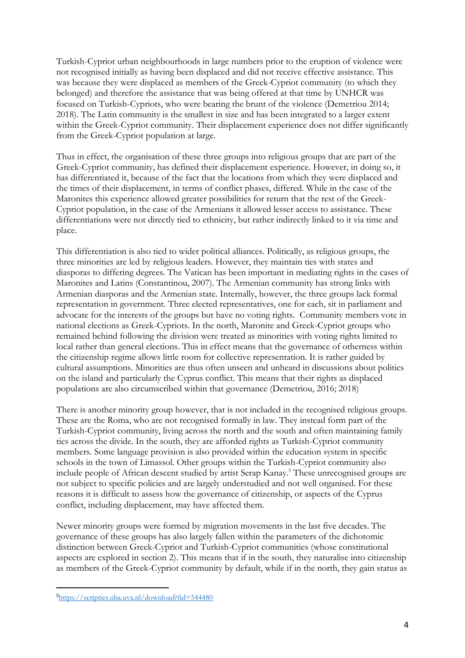Turkish-Cypriot urban neighbourhoods in large numbers prior to the eruption of violence were not recognised initially as having been displaced and did not receive effective assistance. This was because they were displaced as members of the Greek-Cypriot community (to which they belonged) and therefore the assistance that was being offered at that time by UNHCR was focused on Turkish-Cypriots, who were bearing the brunt of the violence (Demetriou 2014; 2018). The Latin community is the smallest in size and has been integrated to a larger extent within the Greek-Cypriot community. Their displacement experience does not differ significantly from the Greek-Cypriot population at large.

Thus in effect, the organisation of these three groups into religious groups that are part of the Greek-Cypriot community, has defined their displacement experience. However, in doing so, it has differentiated it, because of the fact that the locations from which they were displaced and the times of their displacement, in terms of conflict phases, differed. While in the case of the Maronites this experience allowed greater possibilities for return that the rest of the Greek-Cypriot population, in the case of the Armenians it allowed lesser access to assistance. These differentiations were not directly tied to ethnicity, but rather indirectly linked to it via time and place.

This differentiation is also tied to wider political alliances. Politically, as religious groups, the three minorities are led by religious leaders. However, they maintain ties with states and diasporas to differing degrees. The Vatican has been important in mediating rights in the cases of Maronites and Latins (Constantinou, 2007). The Armenian community has strong links with Armenian diasporas and the Armenian state. Internally, however, the three groups lack formal representation in government. Three elected representatives, one for each, sit in parliament and advocate for the interests of the groups but have no voting rights. Community members vote in national elections as Greek-Cypriots. In the north, Maronite and Greek-Cypriot groups who remained behind following the division were treated as minorities with voting rights limited to local rather than general elections. This in effect means that the governance of otherness within the citizenship regime allows little room for collective representation. It is rather guided by cultural assumptions. Minorities are thus often unseen and unheard in discussions about politics on the island and particularly the Cyprus conflict. This means that their rights as displaced populations are also circumscribed within that governance (Demetriou, 2016; 2018)

There is another minority group however, that is not included in the recognised religious groups. These are the Roma, who are not recognised formally in law. They instead form part of the Turkish-Cypriot community, living across the north and the south and often maintaining family ties across the divide. In the south, they are afforded rights as Turkish-Cypriot community members. Some language provision is also provided within the education system in specific schools in the town of Limassol. Other groups within the Turkish-Cypriot community also include people of African descent studied by artist Serap Kanay.<sup>5</sup> These unrecognised groups are not subject to specific policies and are largely understudied and not well organised. For these reasons it is difficult to assess how the governance of citizenship, or aspects of the Cyprus conflict, including displacement, may have affected them.

Newer minority groups were formed by migration movements in the last five decades. The governance of these groups has also largely fallen within the parameters of the dichotomic distinction between Greek-Cypriot and Turkish-Cypriot communities (whose constitutional aspects are explored in section 2). This means that if in the south, they naturalise into citizenship as members of the Greek-Cypriot community by default, while if in the north, they gain status as

<sup>5</sup><https://scripties.uba.uva.nl/download?fid=544480>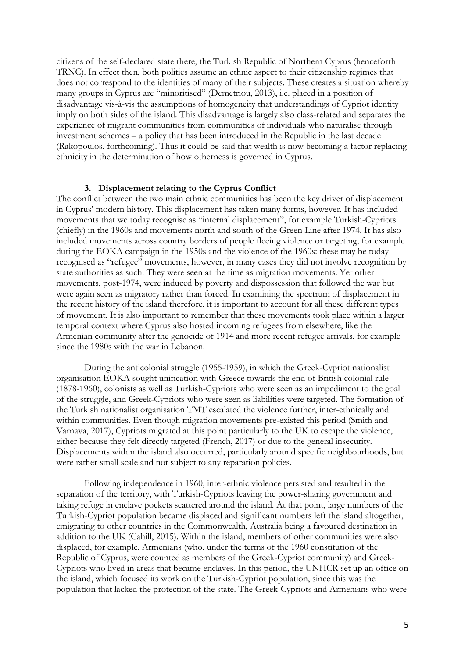citizens of the self-declared state there, the Turkish Republic of Northern Cyprus (henceforth TRNC). In effect then, both polities assume an ethnic aspect to their citizenship regimes that does not correspond to the identities of many of their subjects. These creates a situation whereby many groups in Cyprus are "minoritised" (Demetriou, 2013), i.e. placed in a position of disadvantage vis-à-vis the assumptions of homogeneity that understandings of Cypriot identity imply on both sides of the island. This disadvantage is largely also class-related and separates the experience of migrant communities from communities of individuals who naturalise through investment schemes – a policy that has been introduced in the Republic in the last decade (Rakopoulos, forthcoming). Thus it could be said that wealth is now becoming a factor replacing ethnicity in the determination of how otherness is governed in Cyprus.

#### **3. Displacement relating to the Cyprus Conflict**

The conflict between the two main ethnic communities has been the key driver of displacement in Cyprus' modern history. This displacement has taken many forms, however. It has included movements that we today recognise as "internal displacement", for example Turkish-Cypriots (chiefly) in the 1960s and movements north and south of the Green Line after 1974. It has also included movements across country borders of people fleeing violence or targeting, for example during the EOKA campaign in the 1950s and the violence of the 1960s: these may be today recognised as "refugee" movements, however, in many cases they did not involve recognition by state authorities as such. They were seen at the time as migration movements. Yet other movements, post-1974, were induced by poverty and dispossession that followed the war but were again seen as migratory rather than forced. In examining the spectrum of displacement in the recent history of the island therefore, it is important to account for all these different types of movement. It is also important to remember that these movements took place within a larger temporal context where Cyprus also hosted incoming refugees from elsewhere, like the Armenian community after the genocide of 1914 and more recent refugee arrivals, for example since the 1980s with the war in Lebanon.

During the anticolonial struggle (1955-1959), in which the Greek-Cypriot nationalist organisation EOKA sought unification with Greece towards the end of British colonial rule (1878-1960), colonists as well as Turkish-Cypriots who were seen as an impediment to the goal of the struggle, and Greek-Cypriots who were seen as liabilities were targeted. The formation of the Turkish nationalist organisation TMT escalated the violence further, inter-ethnically and within communities. Even though migration movements pre-existed this period (Smith and Varnava, 2017), Cypriots migrated at this point particularly to the UK to escape the violence, either because they felt directly targeted (French, 2017) or due to the general insecurity. Displacements within the island also occurred, particularly around specific neighbourhoods, but were rather small scale and not subject to any reparation policies.

Following independence in 1960, inter-ethnic violence persisted and resulted in the separation of the territory, with Turkish-Cypriots leaving the power-sharing government and taking refuge in enclave pockets scattered around the island. At that point, large numbers of the Turkish-Cypriot population became displaced and significant numbers left the island altogether, emigrating to other countries in the Commonwealth, Australia being a favoured destination in addition to the UK (Cahill, 2015). Within the island, members of other communities were also displaced, for example, Armenians (who, under the terms of the 1960 constitution of the Republic of Cyprus, were counted as members of the Greek-Cypriot community) and Greek-Cypriots who lived in areas that became enclaves. In this period, the UNHCR set up an office on the island, which focused its work on the Turkish-Cypriot population, since this was the population that lacked the protection of the state. The Greek-Cypriots and Armenians who were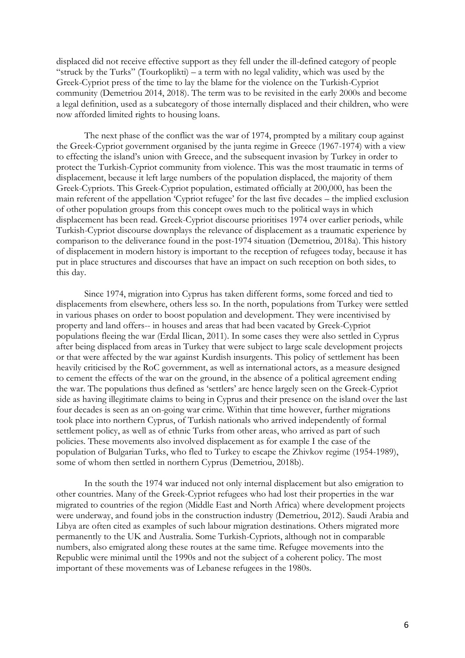displaced did not receive effective support as they fell under the ill-defined category of people "struck by the Turks" (Tourkoplikti) – a term with no legal validity, which was used by the Greek-Cypriot press of the time to lay the blame for the violence on the Turkish-Cypriot community (Demetriou 2014, 2018). The term was to be revisited in the early 2000s and become a legal definition, used as a subcategory of those internally displaced and their children, who were now afforded limited rights to housing loans.

The next phase of the conflict was the war of 1974, prompted by a military coup against the Greek-Cypriot government organised by the junta regime in Greece (1967-1974) with a view to effecting the island's union with Greece, and the subsequent invasion by Turkey in order to protect the Turkish-Cypriot community from violence. This was the most traumatic in terms of displacement, because it left large numbers of the population displaced, the majority of them Greek-Cypriots. This Greek-Cypriot population, estimated officially at 200,000, has been the main referent of the appellation 'Cypriot refugee' for the last five decades – the implied exclusion of other population groups from this concept owes much to the political ways in which displacement has been read. Greek-Cypriot discourse prioritises 1974 over earlier periods, while Turkish-Cypriot discourse downplays the relevance of displacement as a traumatic experience by comparison to the deliverance found in the post-1974 situation (Demetriou, 2018a). This history of displacement in modern history is important to the reception of refugees today, because it has put in place structures and discourses that have an impact on such reception on both sides, to this day.

Since 1974, migration into Cyprus has taken different forms, some forced and tied to displacements from elsewhere, others less so. In the north, populations from Turkey were settled in various phases on order to boost population and development. They were incentivised by property and land offers-- in houses and areas that had been vacated by Greek-Cypriot populations fleeing the war (Erdal Ilican, 2011). In some cases they were also settled in Cyprus after being displaced from areas in Turkey that were subject to large scale development projects or that were affected by the war against Kurdish insurgents. This policy of settlement has been heavily criticised by the RoC government, as well as international actors, as a measure designed to cement the effects of the war on the ground, in the absence of a political agreement ending the war. The populations thus defined as 'settlers' are hence largely seen on the Greek-Cypriot side as having illegitimate claims to being in Cyprus and their presence on the island over the last four decades is seen as an on-going war crime. Within that time however, further migrations took place into northern Cyprus, of Turkish nationals who arrived independently of formal settlement policy, as well as of ethnic Turks from other areas, who arrived as part of such policies. These movements also involved displacement as for example I the case of the population of Bulgarian Turks, who fled to Turkey to escape the Zhivkov regime (1954-1989), some of whom then settled in northern Cyprus (Demetriou, 2018b).

In the south the 1974 war induced not only internal displacement but also emigration to other countries. Many of the Greek-Cypriot refugees who had lost their properties in the war migrated to countries of the region (Middle East and North Africa) where development projects were underway, and found jobs in the construction industry (Demetriou, 2012). Saudi Arabia and Libya are often cited as examples of such labour migration destinations. Others migrated more permanently to the UK and Australia. Some Turkish-Cypriots, although not in comparable numbers, also emigrated along these routes at the same time. Refugee movements into the Republic were minimal until the 1990s and not the subject of a coherent policy. The most important of these movements was of Lebanese refugees in the 1980s.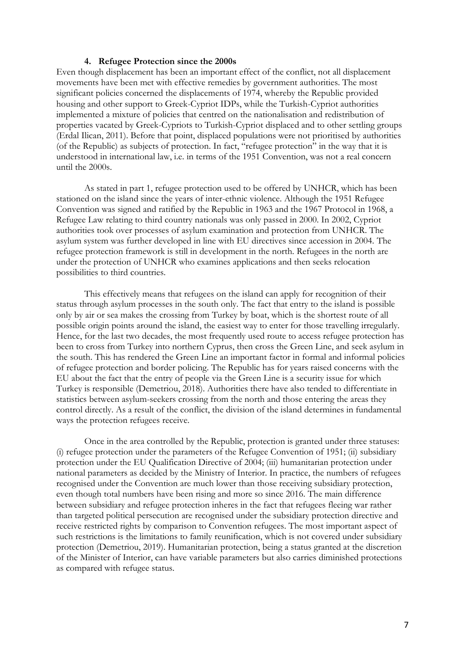#### **4. Refugee Protection since the 2000s**

Even though displacement has been an important effect of the conflict, not all displacement movements have been met with effective remedies by government authorities. The most significant policies concerned the displacements of 1974, whereby the Republic provided housing and other support to Greek-Cypriot IDPs, while the Turkish-Cypriot authorities implemented a mixture of policies that centred on the nationalisation and redistribution of properties vacated by Greek-Cypriots to Turkish-Cypriot displaced and to other settling groups (Erdal Ilican, 2011). Before that point, displaced populations were not prioritised by authorities (of the Republic) as subjects of protection. In fact, "refugee protection" in the way that it is understood in international law, i.e. in terms of the 1951 Convention, was not a real concern until the 2000s.

As stated in part 1, refugee protection used to be offered by UNHCR, which has been stationed on the island since the years of inter-ethnic violence. Although the 1951 Refugee Convention was signed and ratified by the Republic in 1963 and the 1967 Protocol in 1968, a Refugee Law relating to third country nationals was only passed in 2000. In 2002, Cypriot authorities took over processes of asylum examination and protection from UNHCR. The asylum system was further developed in line with EU directives since accession in 2004. The refugee protection framework is still in development in the north. Refugees in the north are under the protection of UNHCR who examines applications and then seeks relocation possibilities to third countries.

This effectively means that refugees on the island can apply for recognition of their status through asylum processes in the south only. The fact that entry to the island is possible only by air or sea makes the crossing from Turkey by boat, which is the shortest route of all possible origin points around the island, the easiest way to enter for those travelling irregularly. Hence, for the last two decades, the most frequently used route to access refugee protection has been to cross from Turkey into northern Cyprus, then cross the Green Line, and seek asylum in the south. This has rendered the Green Line an important factor in formal and informal policies of refugee protection and border policing. The Republic has for years raised concerns with the EU about the fact that the entry of people via the Green Line is a security issue for which Turkey is responsible (Demetriou, 2018). Authorities there have also tended to differentiate in statistics between asylum-seekers crossing from the north and those entering the areas they control directly. As a result of the conflict, the division of the island determines in fundamental ways the protection refugees receive.

Once in the area controlled by the Republic, protection is granted under three statuses: (i) refugee protection under the parameters of the Refugee Convention of 1951; (ii) subsidiary protection under the EU Qualification Directive of 2004; (iii) humanitarian protection under national parameters as decided by the Ministry of Interior. In practice, the numbers of refugees recognised under the Convention are much lower than those receiving subsidiary protection, even though total numbers have been rising and more so since 2016. The main difference between subsidiary and refugee protection inheres in the fact that refugees fleeing war rather than targeted political persecution are recognised under the subsidiary protection directive and receive restricted rights by comparison to Convention refugees. The most important aspect of such restrictions is the limitations to family reunification, which is not covered under subsidiary protection (Demetriou, 2019). Humanitarian protection, being a status granted at the discretion of the Minister of Interior, can have variable parameters but also carries diminished protections as compared with refugee status.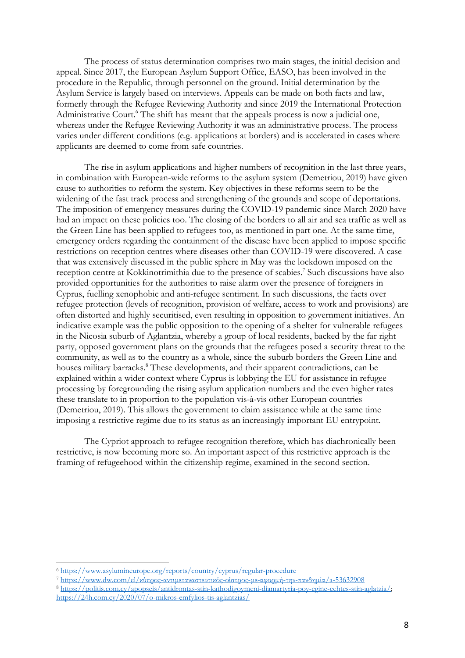The process of status determination comprises two main stages, the initial decision and appeal. Since 2017, the European Asylum Support Office, EASO, has been involved in the procedure in the Republic, through personnel on the ground. Initial determination by the Asylum Service is largely based on interviews. Appeals can be made on both facts and law, formerly through the Refugee Reviewing Authority and since 2019 the International Protection Administrative Court.<sup>6</sup> The shift has meant that the appeals process is now a judicial one, whereas under the Refugee Reviewing Authority it was an administrative process. The process varies under different conditions (e.g. applications at borders) and is accelerated in cases where applicants are deemed to come from safe countries.

The rise in asylum applications and higher numbers of recognition in the last three years, in combination with European-wide reforms to the asylum system (Demetriou, 2019) have given cause to authorities to reform the system. Key objectives in these reforms seem to be the widening of the fast track process and strengthening of the grounds and scope of deportations. The imposition of emergency measures during the COVID-19 pandemic since March 2020 have had an impact on these policies too. The closing of the borders to all air and sea traffic as well as the Green Line has been applied to refugees too, as mentioned in part one. At the same time, emergency orders regarding the containment of the disease have been applied to impose specific restrictions on reception centres where diseases other than COVID-19 were discovered. A case that was extensively discussed in the public sphere in May was the lockdown imposed on the reception centre at Kokkinotrimithia due to the presence of scabies.<sup>7</sup> Such discussions have also provided opportunities for the authorities to raise alarm over the presence of foreigners in Cyprus, fuelling xenophobic and anti-refugee sentiment. In such discussions, the facts over refugee protection (levels of recognition, provision of welfare, access to work and provisions) are often distorted and highly securitised, even resulting in opposition to government initiatives. An indicative example was the public opposition to the opening of a shelter for vulnerable refugees in the Nicosia suburb of Aglantzia, whereby a group of local residents, backed by the far right party, opposed government plans on the grounds that the refugees posed a security threat to the community, as well as to the country as a whole, since the suburb borders the Green Line and houses military barracks.<sup>8</sup> These developments, and their apparent contradictions, can be explained within a wider context where Cyprus is lobbying the EU for assistance in refugee processing by foregrounding the rising asylum application numbers and the even higher rates these translate to in proportion to the population vis-à-vis other European countries (Demetriou, 2019). This allows the government to claim assistance while at the same time imposing a restrictive regime due to its status as an increasingly important EU entrypoint.

The Cypriot approach to refugee recognition therefore, which has diachronically been restrictive, is now becoming more so. An important aspect of this restrictive approach is the framing of refugeehood within the citizenship regime, examined in the second section.

<sup>6</sup> <https://www.asylumineurope.org/reports/country/cyprus/regular-procedure>

<sup>7</sup> [https://www.dw.com/el/κύπρος](https://www.dw.com/el/κύπρος-αντιμεταναστευτικός-οίστρος-με-αφορμή-την-πανδημία/a-53632908)-αντιμεταναστευτικός-οίστρος-με-αφορμή-την-πανδημία/a-53632908

<sup>8</sup> [https://politis.com.cy/apopseis/antidrontas-stin-kathodigoymeni-diamartyria-poy-egine-echtes-stin-aglatzia/;](https://politis.com.cy/apopseis/antidrontas-stin-kathodigoymeni-diamartyria-poy-egine-echtes-stin-aglatzia/) <https://24h.com.cy/2020/07/o-mikros-emfylios-tis-aglantzias/>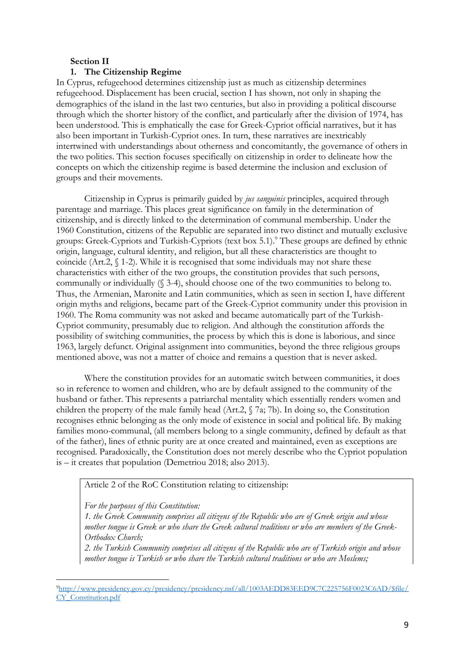### **Section II**

## **1. The Citizenship Regime**

In Cyprus, refugeehood determines citizenship just as much as citizenship determines refugeehood. Displacement has been crucial, section I has shown, not only in shaping the demographics of the island in the last two centuries, but also in providing a political discourse through which the shorter history of the conflict, and particularly after the division of 1974, has been understood. This is emphatically the case for Greek-Cypriot official narratives, but it has also been important in Turkish-Cypriot ones. In turn, these narratives are inextricably intertwined with understandings about otherness and concomitantly, the governance of others in the two polities. This section focuses specifically on citizenship in order to delineate how the concepts on which the citizenship regime is based determine the inclusion and exclusion of groups and their movements.

Citizenship in Cyprus is primarily guided by *jus sanguinis* principles, acquired through parentage and marriage. This places great significance on family in the determination of citizenship, and is directly linked to the determination of communal membership. Under the 1960 Constitution, citizens of the Republic are separated into two distinct and mutually exclusive groups: Greek-Cypriots and Turkish-Cypriots (text box 5.1).<sup>9</sup> These groups are defined by ethnic origin, language, cultural identity, and religion, but all these characteristics are thought to coincide (Art.2, § 1-2). While it is recognised that some individuals may not share these characteristics with either of the two groups, the constitution provides that such persons, communally or individually (§ 3-4), should choose one of the two communities to belong to. Thus, the Armenian, Maronite and Latin communities, which as seen in section I, have different origin myths and religions, became part of the Greek-Cypriot community under this provision in 1960. The Roma community was not asked and became automatically part of the Turkish-Cypriot community, presumably due to religion. And although the constitution affords the possibility of switching communities, the process by which this is done is laborious, and since 1963, largely defunct. Original assignment into communities, beyond the three religious groups mentioned above, was not a matter of choice and remains a question that is never asked.

Where the constitution provides for an automatic switch between communities, it does so in reference to women and children, who are by default assigned to the community of the husband or father. This represents a patriarchal mentality which essentially renders women and children the property of the male family head (Art.2, § 7a; 7b). In doing so, the Constitution recognises ethnic belonging as the only mode of existence in social and political life. By making families mono-communal, (all members belong to a single community, defined by default as that of the father), lines of ethnic purity are at once created and maintained, even as exceptions are recognised. Paradoxically, the Constitution does not merely describe who the Cypriot population is – it creates that population (Demetriou 2018; also 2013).

Article 2 of the RoC Constitution relating to citizenship:

*For the purposes of this Constitution:* 

*1. the Greek Community comprises all citizens of the Republic who are of Greek origin and whose mother tongue is Greek or who share the Greek cultural traditions or who are members of the Greek-Orthodox Church;* 

*2. the Turkish Community comprises all citizens of the Republic who are of Turkish origin and whose mother tongue is Turkish or who share the Turkish cultural traditions or who are Moslems;* 

<sup>9</sup>[http://www.presidency.gov.cy/presidency/presidency.nsf/all/1003AEDD83EED9C7C225756F0023C6AD/\\$file/](http://www.presidency.gov.cy/presidency/presidency.nsf/all/1003AEDD83EED9C7C225756F0023C6AD/$file/CY_Constitution.pdf) [CY\\_Constitution.pdf](http://www.presidency.gov.cy/presidency/presidency.nsf/all/1003AEDD83EED9C7C225756F0023C6AD/$file/CY_Constitution.pdf)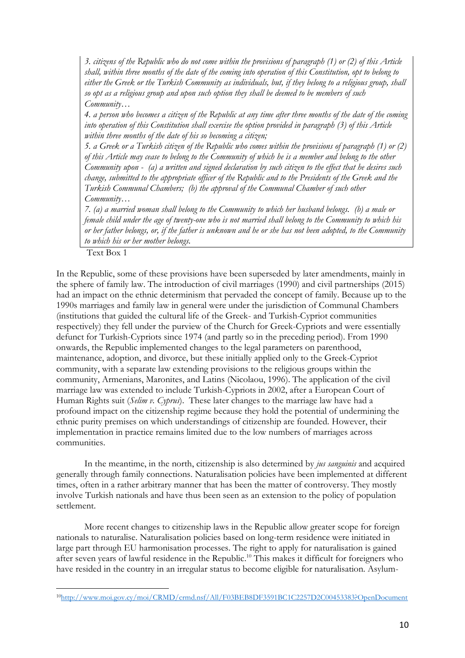*3. citizens of the Republic who do not come within the provisions of paragraph (1) or (2) of this Article shall, within three months of the date of the coming into operation of this Constitution, opt to belong to either the Greek or the Turkish Community as individuals, but, if they belong to a religious group, shall so opt as a religious group and upon such option they shall be deemed to be members of such Community…* 

*4. a person who becomes a citizen of the Republic at any time after three months of the date of the coming into operation of this Constitution shall exercise the option provided in paragraph (3) of this Article within three months of the date of his so becoming a citizen;* 

*5. a Greek or a Turkish citizen of the Republic who comes within the provisions of paragraph (1) or (2) of this Article may cease to belong to the Community of which he is a member and belong to the other Community upon - (a) a written and signed declaration by such citizen to the effect that he desires such change, submitted to the appropriate officer of the Republic and to the Presidents of the Greek and the Turkish Communal Chambers; (b) the approval of the Communal Chamber of such other Community…* 

*7. (a) a married woman shall belong to the Community to which her husband belongs. (b) a male or female child under the age of twenty-one who is not married shall belong to the Community to which his or her father belongs, or, if the father is unknown and he or she has not been adopted, to the Community to which his or her mother belongs.*

Text Box 1

In the Republic, some of these provisions have been superseded by later amendments, mainly in the sphere of family law. The introduction of civil marriages (1990) and civil partnerships (2015) had an impact on the ethnic determinism that pervaded the concept of family. Because up to the 1990s marriages and family law in general were under the jurisdiction of Communal Chambers (institutions that guided the cultural life of the Greek- and Turkish-Cypriot communities respectively) they fell under the purview of the Church for Greek-Cypriots and were essentially defunct for Turkish-Cypriots since 1974 (and partly so in the preceding period). From 1990 onwards, the Republic implemented changes to the legal parameters on parenthood, maintenance, adoption, and divorce, but these initially applied only to the Greek-Cypriot community, with a separate law extending provisions to the religious groups within the community, Armenians, Maronites, and Latins (Nicolaou, 1996). The application of the civil marriage law was extended to include Turkish-Cypriots in 2002, after a European Court of Human Rights suit (*Selim v. Cyprus*). These later changes to the marriage law have had a profound impact on the citizenship regime because they hold the potential of undermining the ethnic purity premises on which understandings of citizenship are founded. However, their implementation in practice remains limited due to the low numbers of marriages across communities.

In the meantime, in the north, citizenship is also determined by *jus sanguinis* and acquired generally through family connections. Naturalisation policies have been implemented at different times, often in a rather arbitrary manner that has been the matter of controversy. They mostly involve Turkish nationals and have thus been seen as an extension to the policy of population settlement.

More recent changes to citizenship laws in the Republic allow greater scope for foreign nationals to naturalise. Naturalisation policies based on long-term residence were initiated in large part through EU harmonisation processes. The right to apply for naturalisation is gained after seven years of lawful residence in the Republic. <sup>10</sup> This makes it difficult for foreigners who have resided in the country in an irregular status to become eligible for naturalisation. Asylum-

<sup>10</sup><http://www.moi.gov.cy/moi/CRMD/crmd.nsf/All/F03BEB8DF3591BC1C2257D2C00453383?OpenDocument>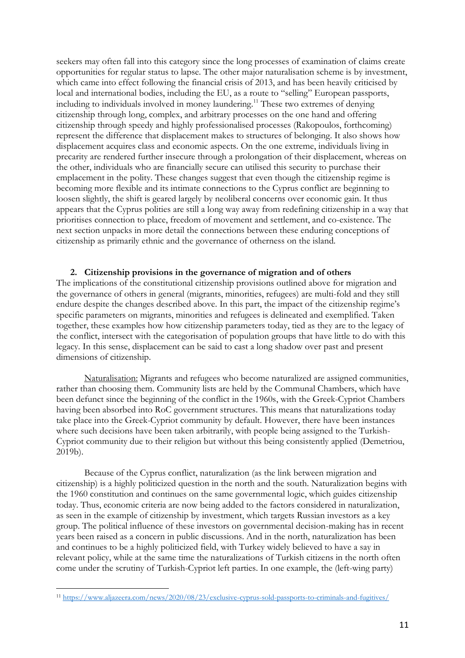seekers may often fall into this category since the long processes of examination of claims create opportunities for regular status to lapse. The other major naturalisation scheme is by investment, which came into effect following the financial crisis of 2013, and has been heavily criticised by local and international bodies, including the EU, as a route to "selling" European passports, including to individuals involved in money laundering.<sup>11</sup> These two extremes of denying citizenship through long, complex, and arbitrary processes on the one hand and offering citizenship through speedy and highly professionalised processes (Rakopoulos, forthcoming) represent the difference that displacement makes to structures of belonging. It also shows how displacement acquires class and economic aspects. On the one extreme, individuals living in precarity are rendered further insecure through a prolongation of their displacement, whereas on the other, individuals who are financially secure can utilised this security to purchase their emplacement in the polity. These changes suggest that even though the citizenship regime is becoming more flexible and its intimate connections to the Cyprus conflict are beginning to loosen slightly, the shift is geared largely by neoliberal concerns over economic gain. It thus appears that the Cyprus polities are still a long way away from redefining citizenship in a way that prioritises connection to place, freedom of movement and settlement, and co-existence. The next section unpacks in more detail the connections between these enduring conceptions of citizenship as primarily ethnic and the governance of otherness on the island.

## **2. Citizenship provisions in the governance of migration and of others**

The implications of the constitutional citizenship provisions outlined above for migration and the governance of others in general (migrants, minorities, refugees) are multi-fold and they still endure despite the changes described above. In this part, the impact of the citizenship regime's specific parameters on migrants, minorities and refugees is delineated and exemplified. Taken together, these examples how how citizenship parameters today, tied as they are to the legacy of the conflict, intersect with the categorisation of population groups that have little to do with this legacy. In this sense, displacement can be said to cast a long shadow over past and present dimensions of citizenship.

Naturalisation: Migrants and refugees who become naturalized are assigned communities, rather than choosing them. Community lists are held by the Communal Chambers, which have been defunct since the beginning of the conflict in the 1960s, with the Greek-Cypriot Chambers having been absorbed into RoC government structures. This means that naturalizations today take place into the Greek-Cypriot community by default. However, there have been instances where such decisions have been taken arbitrarily, with people being assigned to the Turkish-Cypriot community due to their religion but without this being consistently applied (Demetriou, 2019b).

Because of the Cyprus conflict, naturalization (as the link between migration and citizenship) is a highly politicized question in the north and the south. Naturalization begins with the 1960 constitution and continues on the same governmental logic, which guides citizenship today. Thus, economic criteria are now being added to the factors considered in naturalization, as seen in the example of citizenship by investment, which targets Russian investors as a key group. The political influence of these investors on governmental decision-making has in recent years been raised as a concern in public discussions. And in the north, naturalization has been and continues to be a highly politicized field, with Turkey widely believed to have a say in relevant policy, while at the same time the naturalizations of Turkish citizens in the north often come under the scrutiny of Turkish-Cypriot left parties. In one example, the (left-wing party)

<sup>11</sup> <https://www.aljazeera.com/news/2020/08/23/exclusive-cyprus-sold-passports-to-criminals-and-fugitives/>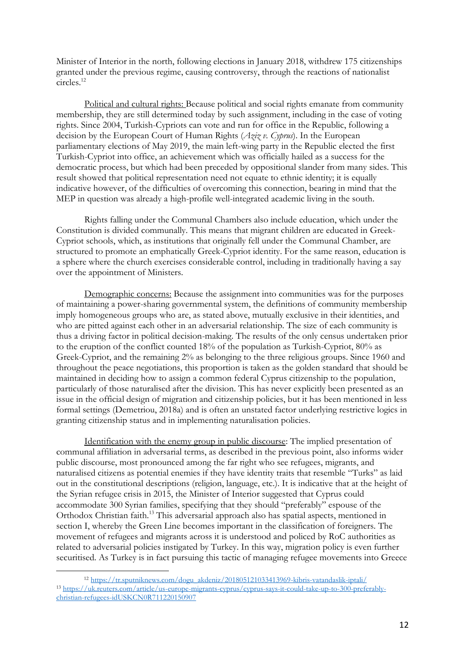Minister of Interior in the north, following elections in January 2018, withdrew 175 citizenships granted under the previous regime, causing controversy, through the reactions of nationalist circles. 12

Political and cultural rights: Because political and social rights emanate from community membership, they are still determined today by such assignment, including in the case of voting rights. Since 2004, Turkish-Cypriots can vote and run for office in the Republic, following a decision by the European Court of Human Rights (*Aziz v. Cyprus*). In the European parliamentary elections of May 2019, the main left-wing party in the Republic elected the first Turkish-Cypriot into office, an achievement which was officially hailed as a success for the democratic process, but which had been preceded by oppositional slander from many sides. This result showed that political representation need not equate to ethnic identity; it is equally indicative however, of the difficulties of overcoming this connection, bearing in mind that the MEP in question was already a high-profile well-integrated academic living in the south.

Rights falling under the Communal Chambers also include education, which under the Constitution is divided communally. This means that migrant children are educated in Greek-Cypriot schools, which, as institutions that originally fell under the Communal Chamber, are structured to promote an emphatically Greek-Cypriot identity. For the same reason, education is a sphere where the church exercises considerable control, including in traditionally having a say over the appointment of Ministers.

Demographic concerns: Because the assignment into communities was for the purposes of maintaining a power-sharing governmental system, the definitions of community membership imply homogeneous groups who are, as stated above, mutually exclusive in their identities, and who are pitted against each other in an adversarial relationship. The size of each community is thus a driving factor in political decision-making. The results of the only census undertaken prior to the eruption of the conflict counted 18% of the population as Turkish-Cypriot, 80% as Greek-Cypriot, and the remaining 2% as belonging to the three religious groups. Since 1960 and throughout the peace negotiations, this proportion is taken as the golden standard that should be maintained in deciding how to assign a common federal Cyprus citizenship to the population, particularly of those naturalised after the division. This has never explicitly been presented as an issue in the official design of migration and citizenship policies, but it has been mentioned in less formal settings (Demetriou, 2018a) and is often an unstated factor underlying restrictive logics in granting citizenship status and in implementing naturalisation policies.

Identification with the enemy group in public discourse: The implied presentation of communal affiliation in adversarial terms, as described in the previous point, also informs wider public discourse, most pronounced among the far right who see refugees, migrants, and naturalised citizens as potential enemies if they have identity traits that resemble "Turks" as laid out in the constitutional descriptions (religion, language, etc.). It is indicative that at the height of the Syrian refugee crisis in 2015, the Minister of Interior suggested that Cyprus could accommodate 300 Syrian families, specifying that they should "preferably" espouse of the Orthodox Christian faith.<sup>13</sup> This adversarial approach also has spatial aspects, mentioned in section I, whereby the Green Line becomes important in the classification of foreigners. The movement of refugees and migrants across it is understood and policed by RoC authorities as related to adversarial policies instigated by Turkey. In this way, migration policy is even further securitised. As Turkey is in fact pursuing this tactic of managing refugee movements into Greece

<sup>12</sup> [https://tr.sputniknews.com/dogu\\_akdeniz/201805121033413969-kibris-vatandaslik-iptali/](https://tr.sputniknews.com/dogu_akdeniz/201805121033413969-kibris-vatandaslik-iptali/) <sup>13</sup> [https://uk.reuters.com/article/us-europe-migrants-cyprus/cyprus-says-it-could-take-up-to-300-preferably](https://uk.reuters.com/article/us-europe-migrants-cyprus/cyprus-says-it-could-take-up-to-300-preferably-christian-refugees-idUSKCN0R711220150907)[christian-refugees-idUSKCN0R711220150907](https://uk.reuters.com/article/us-europe-migrants-cyprus/cyprus-says-it-could-take-up-to-300-preferably-christian-refugees-idUSKCN0R711220150907)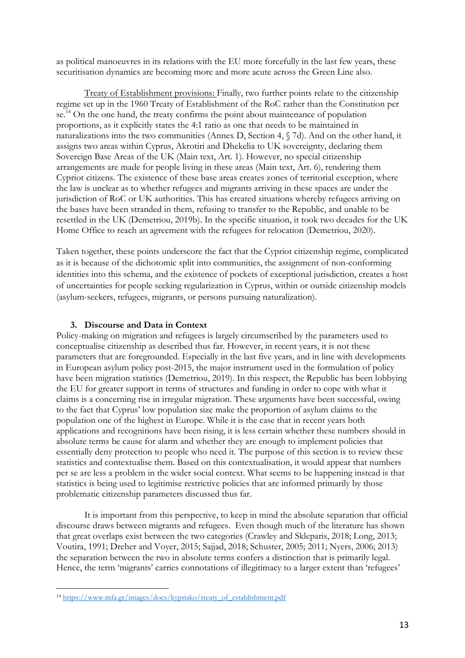as political manoeuvres in its relations with the EU more forcefully in the last few years, these securitisation dynamics are becoming more and more acute across the Green Line also.

Treaty of Establishment provisions: Finally, two further points relate to the citizenship regime set up in the 1960 Treaty of Establishment of the RoC rather than the Constitution per se.<sup>14</sup> On the one hand, the treaty confirms the point about maintenance of population proportions, as it explicitly states the 4:1 ratio as one that needs to be maintained in naturalizations into the two communities (Annex D, Section 4, § 7d). And on the other hand, it assigns two areas within Cyprus, Akrotiri and Dhekelia to UK sovereignty, declaring them Sovereign Base Areas of the UK (Main text, Art. 1). However, no special citizenship arrangements are made for people living in these areas (Main text, Art. 6), rendering them Cypriot citizens. The existence of these base areas creates zones of territorial exception, where the law is unclear as to whether refugees and migrants arriving in these spaces are under the jurisdiction of RoC or UK authorities. This has created situations whereby refugees arriving on the bases have been stranded in them, refusing to transfer to the Republic, and unable to be resettled in the UK (Demetriou, 2019b). In the specific situation, it took two decades for the UK Home Office to reach an agreement with the refugees for relocation (Demetriou, 2020).

Taken together, these points underscore the fact that the Cypriot citizenship regime, complicated as it is because of the dichotomic split into communities, the assignment of non-conforming identities into this schema, and the existence of pockets of exceptional jurisdiction, creates a host of uncertainties for people seeking regularization in Cyprus, within or outside citizenship models (asylum-seekers, refugees, migrants, or persons pursuing naturalization).

## **3. Discourse and Data in Context**

Policy-making on migration and refugees is largely circumscribed by the parameters used to conceptualise citizenship as described thus far. However, in recent years, it is not these parameters that are foregrounded. Especially in the last five years, and in line with developments in European asylum policy post-2015, the major instrument used in the formulation of policy have been migration statistics (Demetriou, 2019). In this respect, the Republic has been lobbying the EU for greater support in terms of structures and funding in order to cope with what it claims is a concerning rise in irregular migration. These arguments have been successful, owing to the fact that Cyprus' low population size make the proportion of asylum claims to the population one of the highest in Europe. While it is the case that in recent years both applications and recognitions have been rising, it is less certain whether these numbers should in absolute terms be cause for alarm and whether they are enough to implement policies that essentially deny protection to people who need it. The purpose of this section is to review these statistics and contextualise them. Based on this contextualisation, it would appear that numbers per se are less a problem in the wider social context. What seems to be happening instead is that statistics is being used to legitimise restrictive policies that are informed primarily by those problematic citizenship parameters discussed thus far.

It is important from this perspective, to keep in mind the absolute separation that official discourse draws between migrants and refugees. Even though much of the literature has shown that great overlaps exist between the two categories (Crawley and Skleparis, 2018; Long, 2013; Voutira, 1991; Dreher and Voyer, 2015; Sajjad, 2018; Schuster, 2005; 2011; Nyers, 2006; 2013) the separation between the two in absolute terms confers a distinction that is primarily legal. Hence, the term 'migrants' carries connotations of illegitimacy to a larger extent than 'refugees'

<sup>14</sup> [https://www.mfa.gr/images/docs/kypriako/treaty\\_of\\_establishment.pdf](https://www.mfa.gr/images/docs/kypriako/treaty_of_establishment.pdf)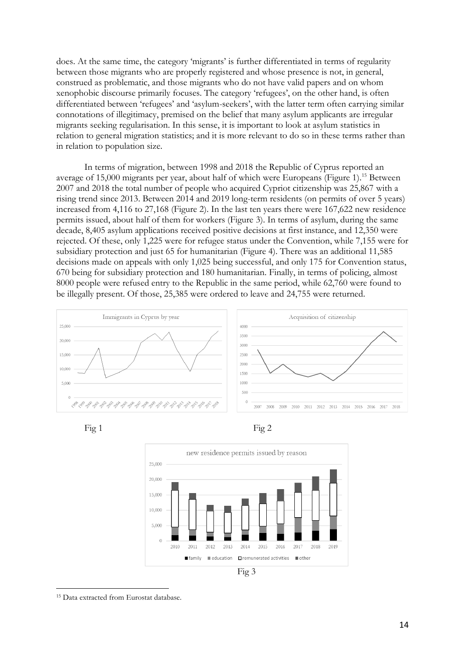does. At the same time, the category 'migrants' is further differentiated in terms of regularity between those migrants who are properly registered and whose presence is not, in general, construed as problematic, and those migrants who do not have valid papers and on whom xenophobic discourse primarily focuses. The category 'refugees', on the other hand, is often differentiated between 'refugees' and 'asylum-seekers', with the latter term often carrying similar connotations of illegitimacy, premised on the belief that many asylum applicants are irregular migrants seeking regularisation. In this sense, it is important to look at asylum statistics in relation to general migration statistics; and it is more relevant to do so in these terms rather than in relation to population size.

In terms of migration, between 1998 and 2018 the Republic of Cyprus reported an average of 15,000 migrants per year, about half of which were Europeans (Figure 1).<sup>15</sup> Between 2007 and 2018 the total number of people who acquired Cypriot citizenship was 25,867 with a rising trend since 2013. Between 2014 and 2019 long-term residents (on permits of over 5 years) increased from 4,116 to 27,168 (Figure 2). In the last ten years there were 167,622 new residence permits issued, about half of them for workers (Figure 3). In terms of asylum, during the same decade, 8,405 asylum applications received positive decisions at first instance, and 12,350 were rejected. Of these, only 1,225 were for refugee status under the Convention, while 7,155 were for subsidiary protection and just 65 for humanitarian (Figure 4). There was an additional 11,585 decisions made on appeals with only 1,025 being successful, and only 175 for Convention status, 670 being for subsidiary protection and 180 humanitarian. Finally, in terms of policing, almost 8000 people were refused entry to the Republic in the same period, while 62,760 were found to be illegally present. Of those, 25,385 were ordered to leave and 24,755 were returned.









<sup>15</sup> Data extracted from Eurostat database.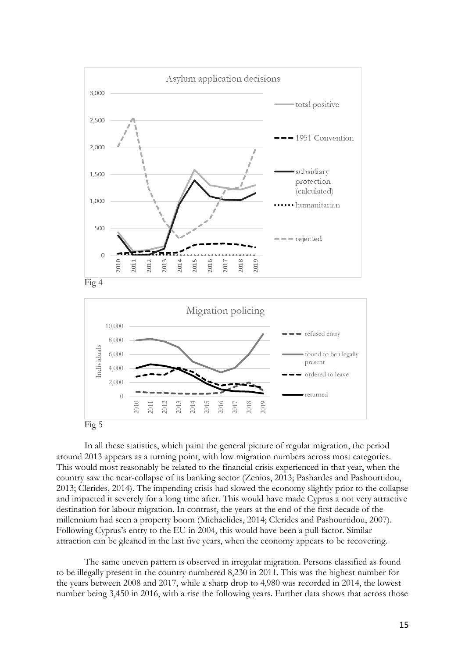



In all these statistics, which paint the general picture of regular migration, the period around 2013 appears as a turning point, with low migration numbers across most categories. This would most reasonably be related to the financial crisis experienced in that year, when the country saw the near-collapse of its banking sector (Zenios, 2013; Pashardes and Pashourtidou, 2013; Clerides, 2014). The impending crisis had slowed the economy slightly prior to the collapse and impacted it severely for a long time after. This would have made Cyprus a not very attractive destination for labour migration. In contrast, the years at the end of the first decade of the millennium had seen a property boom (Michaelides, 2014; Clerides and Pashourtidou, 2007). Following Cyprus's entry to the EU in 2004, this would have been a pull factor. Similar attraction can be gleaned in the last five years, when the economy appears to be recovering.

The same uneven pattern is observed in irregular migration. Persons classified as found to be illegally present in the country numbered 8,230 in 2011. This was the highest number for the years between 2008 and 2017, while a sharp drop to 4,980 was recorded in 2014, the lowest number being 3,450 in 2016, with a rise the following years. Further data shows that across those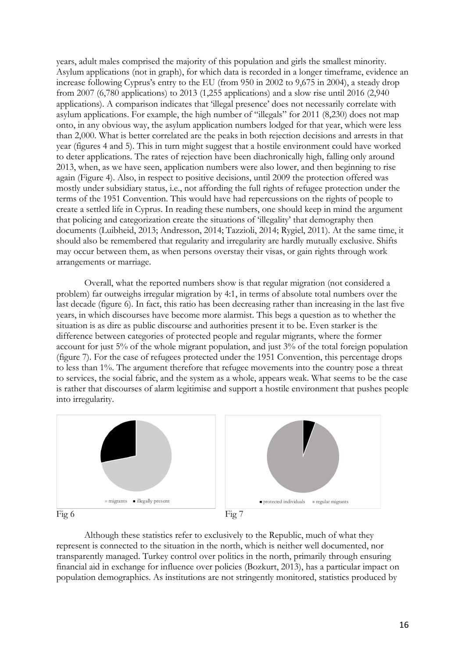years, adult males comprised the majority of this population and girls the smallest minority. Asylum applications (not in graph), for which data is recorded in a longer timeframe, evidence an increase following Cyprus's entry to the EU (from 950 in 2002 to 9,675 in 2004), a steady drop from 2007 (6,780 applications) to 2013 (1,255 applications) and a slow rise until 2016 (2,940 applications). A comparison indicates that 'illegal presence' does not necessarily correlate with asylum applications. For example, the high number of "illegals" for 2011 (8,230) does not map onto, in any obvious way, the asylum application numbers lodged for that year, which were less than 2,000. What is better correlated are the peaks in both rejection decisions and arrests in that year (figures 4 and 5). This in turn might suggest that a hostile environment could have worked to deter applications. The rates of rejection have been diachronically high, falling only around 2013, when, as we have seen, application numbers were also lower, and then beginning to rise again (Figure 4). Also, in respect to positive decisions, until 2009 the protection offered was mostly under subsidiary status, i.e., not affording the full rights of refugee protection under the terms of the 1951 Convention. This would have had repercussions on the rights of people to create a settled life in Cyprus. In reading these numbers, one should keep in mind the argument that policing and categorization create the situations of 'illegality' that demography then documents (Luibheid, 2013; Andresson, 2014; Tazzioli, 2014; Rygiel, 2011). At the same time, it should also be remembered that regularity and irregularity are hardly mutually exclusive. Shifts may occur between them, as when persons overstay their visas, or gain rights through work arrangements or marriage.

Overall, what the reported numbers show is that regular migration (not considered a problem) far outweighs irregular migration by 4:1, in terms of absolute total numbers over the last decade (figure 6). In fact, this ratio has been decreasing rather than increasing in the last five years, in which discourses have become more alarmist. This begs a question as to whether the situation is as dire as public discourse and authorities present it to be. Even starker is the difference between categories of protected people and regular migrants, where the former account for just 5% of the whole migrant population, and just 3% of the total foreign population (figure 7). For the case of refugees protected under the 1951 Convention, this percentage drops to less than 1%. The argument therefore that refugee movements into the country pose a threat to services, the social fabric, and the system as a whole, appears weak. What seems to be the case is rather that discourses of alarm legitimise and support a hostile environment that pushes people into irregularity.



Although these statistics refer to exclusively to the Republic, much of what they represent is connected to the situation in the north, which is neither well documented, nor transparently managed. Turkey control over politics in the north, primarily through ensuring financial aid in exchange for influence over policies (Bozkurt, 2013), has a particular impact on population demographics. As institutions are not stringently monitored, statistics produced by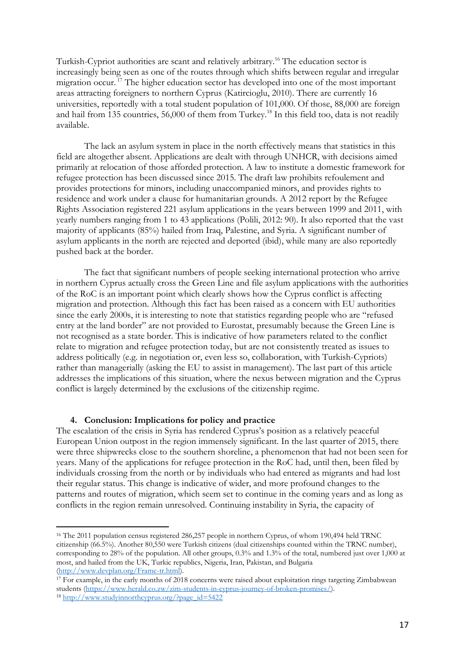Turkish-Cypriot authorities are scant and relatively arbitrary.<sup>16</sup> The education sector is increasingly being seen as one of the routes through which shifts between regular and irregular migration occur. <sup>17</sup> The higher education sector has developed into one of the most important areas attracting foreigners to northern Cyprus (Katircioglu, 2010). There are currently 16 universities, reportedly with a total student population of 101,000. Of those, 88,000 are foreign and hail from 135 countries, 56,000 of them from Turkey.<sup>18</sup> In this field too, data is not readily available.

The lack an asylum system in place in the north effectively means that statistics in this field are altogether absent. Applications are dealt with through UNHCR, with decisions aimed primarily at relocation of those afforded protection. A law to institute a domestic framework for refugee protection has been discussed since 2015. The draft law prohibits refoulement and provides protections for minors, including unaccompanied minors, and provides rights to residence and work under a clause for humanitarian grounds. A 2012 report by the Refugee Rights Association registered 221 asylum applications in the years between 1999 and 2011, with yearly numbers ranging from 1 to 43 applications (Polili, 2012: 90). It also reported that the vast majority of applicants (85%) hailed from Iraq, Palestine, and Syria. A significant number of asylum applicants in the north are rejected and deported (ibid), while many are also reportedly pushed back at the border.

The fact that significant numbers of people seeking international protection who arrive in northern Cyprus actually cross the Green Line and file asylum applications with the authorities of the RoC is an important point which clearly shows how the Cyprus conflict is affecting migration and protection. Although this fact has been raised as a concern with EU authorities since the early 2000s, it is interesting to note that statistics regarding people who are "refused entry at the land border" are not provided to Eurostat, presumably because the Green Line is not recognised as a state border. This is indicative of how parameters related to the conflict relate to migration and refugee protection today, but are not consistently treated as issues to address politically (e.g. in negotiation or, even less so, collaboration, with Turkish-Cypriots) rather than managerially (asking the EU to assist in management). The last part of this article addresses the implications of this situation, where the nexus between migration and the Cyprus conflict is largely determined by the exclusions of the citizenship regime.

#### **4. Conclusion: Implications for policy and practice**

The escalation of the crisis in Syria has rendered Cyprus's position as a relatively peaceful European Union outpost in the region immensely significant. In the last quarter of 2015, there were three shipwrecks close to the southern shoreline, a phenomenon that had not been seen for years. Many of the applications for refugee protection in the RoC had, until then, been filed by individuals crossing from the north or by individuals who had entered as migrants and had lost their regular status. This change is indicative of wider, and more profound changes to the patterns and routes of migration, which seem set to continue in the coming years and as long as conflicts in the region remain unresolved. Continuing instability in Syria, the capacity of

<sup>&</sup>lt;sup>16</sup> The 2011 population census registered 286,257 people in northern Cyprus, of whom 190,494 held TRNC citizenship (66.5%). Another 80,550 were Turkish citizens (dual citizenships counted within the TRNC number), corresponding to 28% of the population. All other groups, 0.3% and 1.3% of the total, numbered just over 1,000 at most, and hailed from the UK, Turkic republics, Nigeria, Iran, Pakistan, and Bulgaria [\(http://www.devplan.org/Frame-tr.html\)](http://www.devplan.org/Frame-tr.html).

<sup>&</sup>lt;sup>17</sup> For example, in the early months of 2018 concerns were raised about exploitation rings targeting Zimbabwean students [\(https://www.herald.co.zw/zim-students-in-cyprus-journey-of-broken-promises/\)](https://www.herald.co.zw/zim-students-in-cyprus-journey-of-broken-promises/).

<sup>18</sup> [http://www.studyinnorthcyprus.org/?page\\_id=5422](http://www.studyinnorthcyprus.org/?page_id=5422)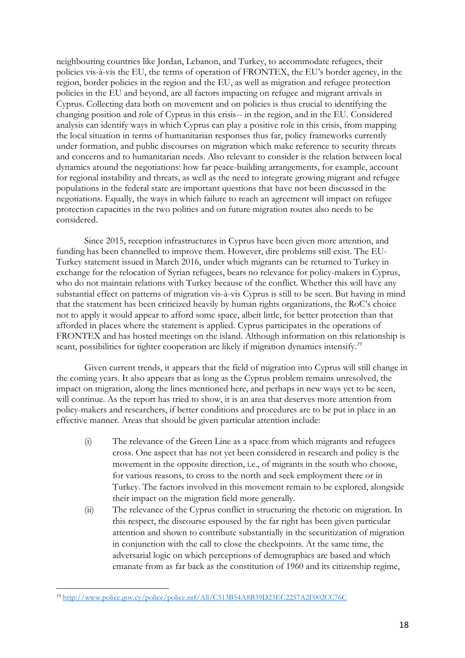neighbouring countries like Jordan, Lebanon, and Turkey, to accommodate refugees, their policies vis-à-vis the EU, the terms of operation of FRONTEX, the EU's border agency, in the region, border policies in the region and the EU, as well as migration and refugee protection policies in the EU and beyond, are all factors impacting on refugee and migrant arrivals in Cyprus. Collecting data both on movement and on policies is thus crucial to identifying the changing position and role of Cyprus in this crisis-- in the region, and in the EU. Considered analysis can identify ways in which Cyprus can play a positive role in this crisis, from mapping the local situation in terms of humanitarian responses thus far, policy frameworks currently under formation, and public discourses on migration which make reference to security threats and concerns and to humanitarian needs. Also relevant to consider is the relation between local dynamics around the negotiations: how far peace-building arrangements, for example, account for regional instability and threats, as well as the need to integrate growing migrant and refugee populations in the federal state are important questions that have not been discussed in the negotiations. Equally, the ways in which failure to reach an agreement will impact on refugee protection capacities in the two polities and on future migration routes also needs to be considered.

Since 2015, reception infrastructures in Cyprus have been given more attention, and funding has been channelled to improve them. However, dire problems still exist. The EU-Turkey statement issued in March 2016, under which migrants can be returned to Turkey in exchange for the relocation of Syrian refugees, bears no relevance for policy-makers in Cyprus, who do not maintain relations with Turkey because of the conflict. Whether this will have any substantial effect on patterns of migration vis-à-vis Cyprus is still to be seen. But having in mind that the statement has been criticized heavily by human rights organizations, the RoC's choice not to apply it would appear to afford some space, albeit little, for better protection than that afforded in places where the statement is applied. Cyprus participates in the operations of FRONTEX and has hosted meetings on the island. Although information on this relationship is scant, possibilities for tighter cooperation are likely if migration dynamics intensify.<sup>19</sup>

Given current trends, it appears that the field of migration into Cyprus will still change in the coming years. It also appears that as long as the Cyprus problem remains unresolved, the impact on migration, along the lines mentioned here, and perhaps in new ways yet to be seen, will continue. As the report has tried to show, it is an area that deserves more attention from policy-makers and researchers, if better conditions and procedures are to be put in place in an effective manner. Areas that should be given particular attention include:

- (i) The relevance of the Green Line as a space from which migrants and refugees cross. One aspect that has not yet been considered in research and policy is the movement in the opposite direction, i.e., of migrants in the south who choose, for various reasons, to cross to the north and seek employment there or in Turkey. The factors involved in this movement remain to be explored, alongside their impact on the migration field more generally.
- (ii) The relevance of the Cyprus conflict in structuring the rhetoric on migration. In this respect, the discourse espoused by the far right has been given particular attention and shown to contribute substantially in the securitization of migration in conjunction with the call to close the checkpoints. At the same time, the adversarial logic on which perceptions of demographics are based and which emanate from as far back as the constitution of 1960 and its citizenship regime,

<sup>19</sup> <http://www.police.gov.cy/police/police.nsf/All/C513B54A8B39D23EC2257A2F002CC76C>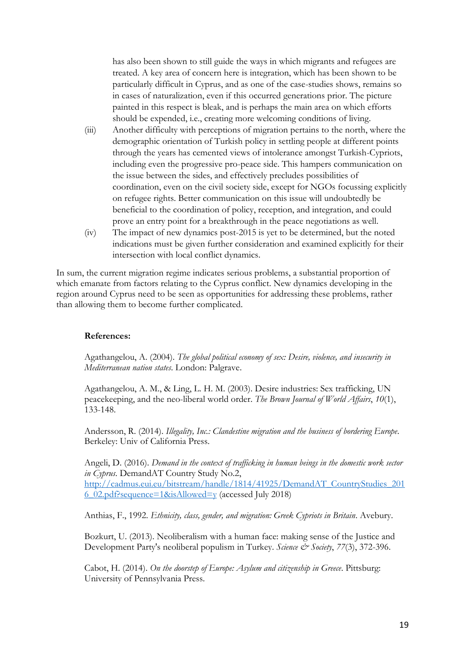has also been shown to still guide the ways in which migrants and refugees are treated. A key area of concern here is integration, which has been shown to be particularly difficult in Cyprus, and as one of the case-studies shows, remains so in cases of naturalization, even if this occurred generations prior. The picture painted in this respect is bleak, and is perhaps the main area on which efforts should be expended, i.e., creating more welcoming conditions of living.

- (iii) Another difficulty with perceptions of migration pertains to the north, where the demographic orientation of Turkish policy in settling people at different points through the years has cemented views of intolerance amongst Turkish-Cypriots, including even the progressive pro-peace side. This hampers communication on the issue between the sides, and effectively precludes possibilities of coordination, even on the civil society side, except for NGOs focussing explicitly on refugee rights. Better communication on this issue will undoubtedly be beneficial to the coordination of policy, reception, and integration, and could prove an entry point for a breakthrough in the peace negotiations as well.
- (iv) The impact of new dynamics post-2015 is yet to be determined, but the noted indications must be given further consideration and examined explicitly for their intersection with local conflict dynamics.

In sum, the current migration regime indicates serious problems, a substantial proportion of which emanate from factors relating to the Cyprus conflict. New dynamics developing in the region around Cyprus need to be seen as opportunities for addressing these problems, rather than allowing them to become further complicated.

#### **References:**

Agathangelou, A. (2004). *The global political economy of sex: Desire, violence, and insecurity in Mediterranean nation states*. London: Palgrave.

Agathangelou, A. M., & Ling, L. H. M. (2003). Desire industries: Sex trafficking, UN peacekeeping, and the neo-liberal world order. *The Brown Journal of World Affairs*, *10*(1), 133-148.

Andersson, R. (2014). *Illegality, Inc.: Clandestine migration and the business of bordering Europe*. Berkeley: Univ of California Press.

Angeli, D. (2016). *Demand in the context of trafficking in human beings in the domestic work sector in Cyprus*. DemandAT Country Study No.2, [http://cadmus.eui.eu/bitstream/handle/1814/41925/DemandAT\\_CountryStudies\\_201](http://cadmus.eui.eu/bitstream/handle/1814/41925/DemandAT_CountryStudies_2016_02.pdf?sequence=1&isAllowed=y) [6\\_02.pdf?sequence=1&isAllowed=y](http://cadmus.eui.eu/bitstream/handle/1814/41925/DemandAT_CountryStudies_2016_02.pdf?sequence=1&isAllowed=y) (accessed July 2018)

Anthias, F., 1992. *Ethnicity, class, gender, and migration: Greek Cypriots in Britain*. Avebury.

Bozkurt, U. (2013). Neoliberalism with a human face: making sense of the Justice and Development Party's neoliberal populism in Turkey. *Science & Society*, 77(3), 372-396.

Cabot, H. (2014). *On the doorstep of Europe: Asylum and citizenship in Greece*. Pittsburg: University of Pennsylvania Press.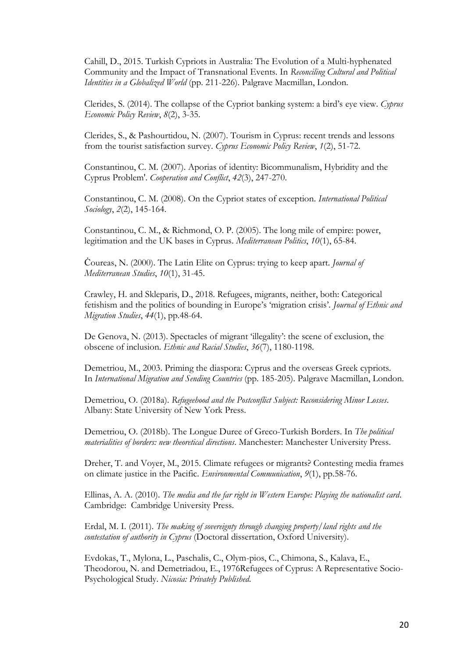Cahill, D., 2015. Turkish Cypriots in Australia: The Evolution of a Multi-hyphenated Community and the Impact of Transnational Events. In *Reconciling Cultural and Political Identities in a Globalized World* (pp. 211-226). Palgrave Macmillan, London.

Clerides, S. (2014). The collapse of the Cypriot banking system: a bird's eye view. *Cyprus Economic Policy Review*, *8*(2), 3-35.

Clerides, S., & Pashourtidou, N. (2007). Tourism in Cyprus: recent trends and lessons from the tourist satisfaction survey. *Cyprus Economic Policy Review*, *1*(2), 51-72.

Constantinou, C. M. (2007). Aporias of identity: Bicommunalism, Hybridity and the Cyprus Problem'. *Cooperation and Conflict*, *42*(3), 247-270.

Constantinou, C. M. (2008). On the Cypriot states of exception. *International Political Sociology*, *2*(2), 145-164.

Constantinou, C. M., & Richmond, O. P. (2005). The long mile of empire: power, legitimation and the UK bases in Cyprus. *Mediterranean Politics*, *10*(1), 65-84.

Ċoureas, N. (2000). The Latin Elite on Cyprus: trying to keep apart. *Journal of Mediterranean Studies*, *10*(1), 31-45.

Crawley, H. and Skleparis, D., 2018. Refugees, migrants, neither, both: Categorical fetishism and the politics of bounding in Europe's 'migration crisis'. *Journal of Ethnic and Migration Studies*, *44*(1), pp.48-64.

De Genova, N. (2013). Spectacles of migrant 'illegality': the scene of exclusion, the obscene of inclusion. *Ethnic and Racial Studies*, *36*(7), 1180-1198.

Demetriou, M., 2003. Priming the diaspora: Cyprus and the overseas Greek cypriots. In *International Migration and Sending Countries* (pp. 185-205). Palgrave Macmillan, London.

Demetriou, O. (2018a). *Refugeehood and the Postconflict Subject: Reconsidering Minor Losses*. Albany: State University of New York Press.

Demetriou, O. (2018b). The Longue Duree of Greco-Turkish Borders. In *The political materialities of borders: new theoretical directions*. Manchester: Manchester University Press.

Dreher, T. and Voyer, M., 2015. Climate refugees or migrants? Contesting media frames on climate justice in the Pacific. *Environmental Communication*, *9*(1), pp.58-76.

Ellinas, A. A. (2010). *The media and the far right in Western Europe: Playing the nationalist card*. Cambridge: Cambridge University Press.

Erdal, M. I. (2011). *The making of sovereignty through changing property/land rights and the contestation of authority in Cyprus* (Doctoral dissertation, Oxford University).

Evdokas, T., Mylona, L., Paschalis, C., Olym-pios, C., Chimona, S., Kalava, E., Theodorou, N. and Demetriadou, E., 1976Refugees of Cyprus: A Representative Socio-Psychological Study. *Nicosia: Privately Published*.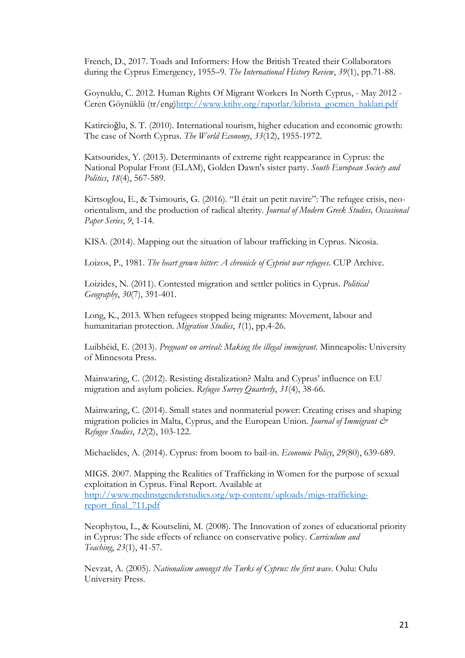French, D., 2017. Toads and Informers: How the British Treated their Collaborators during the Cyprus Emergency, 1955–9. *The International History Review*, *39*(1), pp.71-88.

Goynuklu, C. 2012. Human Rights Of Migrant Workers In North Cyprus, - May 2012 - Ceren Göynüklü (tr/eng[\)http://www.ktihv.org/raporlar/kibrista\\_gocmen\\_haklari.pdf](http://www.ktihv.org/raporlar/kibrista_gocmen_haklari.pdf)

Katircioğlu, S. T. (2010). International tourism, higher education and economic growth: The case of North Cyprus. *The World Economy*, *33*(12), 1955-1972.

Katsourides, Y. (2013). Determinants of extreme right reappearance in Cyprus: the National Popular Front (ELAM), Golden Dawn's sister party. *South European Society and Politics*, *18*(4), 567-589.

Kirtsoglou, E., & Tsimouris, G. (2016). "Il était un petit navire": The refugee crisis, neoorientalism, and the production of radical alterity. *Journal of Modern Greek Studies, Occasional Paper Series*, *9*, 1-14.

KISA. (2014). Mapping out the situation of labour trafficking in Cyprus. Nicosia.

Loizos, P., 1981. *The heart grown bitter: A chronicle of Cypriot war refugees*. CUP Archive.

Loizides, N. (2011). Contested migration and settler politics in Cyprus. *Political Geography*, *30*(7), 391-401.

Long, K., 2013. When refugees stopped being migrants: Movement, labour and humanitarian protection. *Migration Studies*, *1*(1), pp.4-26.

Luibhéid, E. (2013). *Pregnant on arrival: Making the illegal immigrant*. Minneapolis: University of Minnesota Press.

Mainwaring, C. (2012). Resisting distalization? Malta and Cyprus' influence on EU migration and asylum policies. *Refugee Survey Quarterly*, *31*(4), 38-66.

Mainwaring, C. (2014). Small states and nonmaterial power: Creating crises and shaping migration policies in Malta, Cyprus, and the European Union. *Journal of Immigrant & Refugee Studies*, *12*(2), 103-122.

Michaelides, A. (2014). Cyprus: from boom to bail-in. *Economic Policy*, *29*(80), 639-689.

MIGS. 2007. Mapping the Realities of Trafficking in Women for the purpose of sexual exploitation in Cyprus. Final Report. Available at [http://www.medinstgenderstudies.org/wp-content/uploads/migs-trafficking](http://www.medinstgenderstudies.org/wp-content/uploads/migs-trafficking-report_final_711.pdf)[report\\_final\\_711.pdf](http://www.medinstgenderstudies.org/wp-content/uploads/migs-trafficking-report_final_711.pdf)

Neophytou, L., & Koutselini, M. (2008). The Innovation of zones of educational priority in Cyprus: The side effects of reliance on conservative policy. *Curriculum and Teaching*, *23*(1), 41-57.

Nevzat, A. (2005). *Nationalism amongst the Turks of Cyprus: the first wave*. Oulu: Oulu University Press.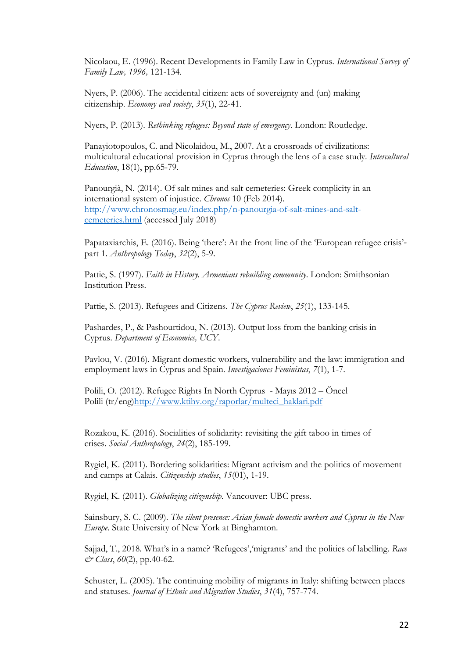Nicolaou, E. (1996). Recent Developments in Family Law in Cyprus. *International Survey of Family Law, 1996,* 121-134.

Nyers, P. (2006). The accidental citizen: acts of sovereignty and (un) making citizenship. *Economy and society*, *35*(1), 22-41.

Nyers, P. (2013). *Rethinking refugees: Beyond state of emergency*. London: Routledge.

Panayiotopoulos, C. and Nicolaidou, M., 2007. At a crossroads of civilizations: multicultural educational provision in Cyprus through the lens of a case study. *Intercultural Education*, 18(1), pp.65-79.

Panourgià, N. (2014). Of salt mines and salt cemeteries: Greek complicity in an international system of injustice. *Chronos* 10 (Feb 2014). [http://www.chronosmag.eu/index.php/n-panourgia-of-salt-mines-and-salt](http://www.chronosmag.eu/index.php/n-panourgia-of-salt-mines-and-salt-cemeteries.html)[cemeteries.html](http://www.chronosmag.eu/index.php/n-panourgia-of-salt-mines-and-salt-cemeteries.html) (accessed July 2018)

Papataxiarchis, E. (2016). Being 'there': At the front line of the 'European refugee crisis'*‐* part 1. *Anthropology Today*, *32*(2), 5-9.

Pattie, S. (1997). *Faith in History. Armenians rebuilding community*. London: Smithsonian Institution Press.

Pattie, S. (2013). Refugees and Citizens. *The Cyprus Review*, *25*(1), 133-145.

Pashardes, P., & Pashourtidou, N. (2013). Output loss from the banking crisis in Cyprus. *Department of Economics, UCY*.

Pavlou, V. (2016). Migrant domestic workers, vulnerability and the law: immigration and employment laws in Cyprus and Spain. *Investigaciones Feministas*, *7*(1), 1-7.

Polili, O. (2012). Refugee Rights In North Cyprus - Mayıs 2012 – Öncel Polili (tr/eng[\)http://www.ktihv.org/raporlar/multeci\\_haklari.pdf](http://www.ktihv.org/raporlar/multeci_haklari.pdf)

Rozakou, K. (2016). Socialities of solidarity: revisiting the gift taboo in times of crises. *Social Anthropology*, *24*(2), 185-199.

Rygiel, K. (2011). Bordering solidarities: Migrant activism and the politics of movement and camps at Calais. *Citizenship studies*, *15*(01), 1-19.

Rygiel, K. (2011). *Globalizing citizenship*. Vancouver: UBC press.

Sainsbury, S. C. (2009). *The silent presence: Asian female domestic workers and Cyprus in the New Europe*. State University of New York at Binghamton.

Sajjad, T., 2018. What's in a name? 'Refugees','migrants' and the politics of labelling. *Race & Class*, *60*(2), pp.40-62.

Schuster, L. (2005). The continuing mobility of migrants in Italy: shifting between places and statuses. *Journal of Ethnic and Migration Studies*, *31*(4), 757-774.